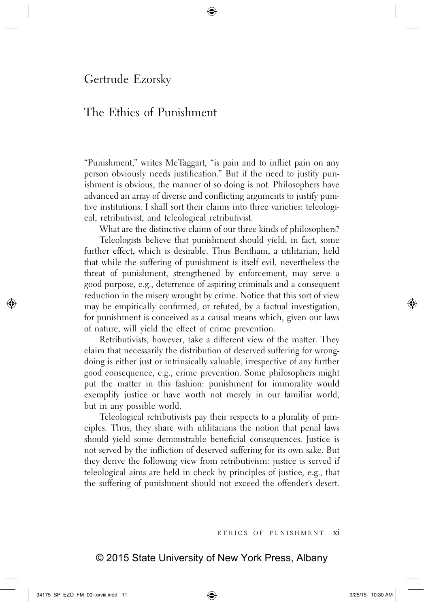## Gertrude Ezorsky

# The Ethics of Punishment

"Punishment," writes McTaggart, "is pain and to inflict pain on any person obviously needs justification." But if the need to justify punishment is obvious, the manner of so doing is not. Philosophers have advanced an array of diverse and conflicting arguments to justify punitive institutions. I shall sort their claims into three varieties: teleological, retributivist, and teleological retributivist.

What are the distinctive claims of our three kinds of philosophers? Teleologists believe that punishment should yield, in fact, some further effect, which is desirable. Thus Bentham, a utilitarian, held that while the suffering of punishment is itself evil, nevertheless the threat of punishment, strengthened by enforcement, may serve a good purpose, e.g., deterrence of aspiring criminals and a consequent reduction in the misery wrought by crime. Notice that this sort of view may be empirically confirmed, or refuted, by a factual investigation, for punishment is conceived as a causal means which, given our laws of nature, will yield the effect of crime prevention.

Retributivists, however, take a different view of the matter. They claim that necessarily the distribution of deserved suffering for wrongdoing is either just or intrinsically valuable, irrespective of any further good consequence, e.g., crime prevention. Some philosophers might put the matter in this fashion: punishment for immorality would exemplify justice or have worth not merely in our familiar world, but in any possible world.

Teleological retributivists pay their respects to a plurality of principles. Thus, they share with utilitarians the notion that penal laws should yield some demonstrable beneficial consequences. Justice is not served by the infliction of deserved suffering for its own sake. But they derive the following view from retributivism: justice is served if teleological aims are held in check by principles of justice, e.g., that the suffering of punishment should not exceed the offender's desert.

ETHICS OF PUNISHMENT XI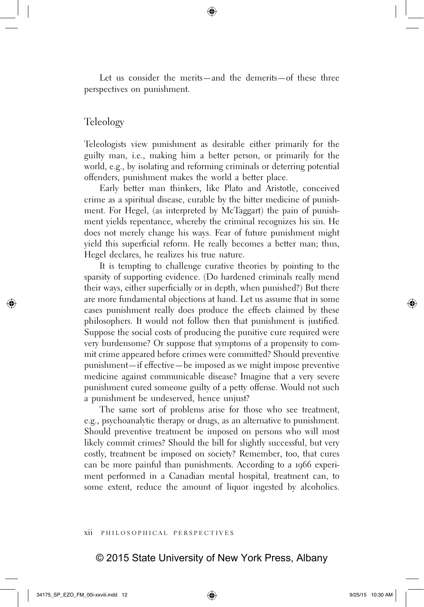Let us consider the merits—and the demerits—of these three perspectives on punishment.

### Teleology

Teleologists view punishment as desirable either primarily for the guilty man, i.e., making him a better person, or primarily for the world, e.g., by isolating and reforming criminals or deterring potential offenders, punishment makes the world a better place.

Early better man thinkers, like Plato and Aristotle, conceived crime as a spiritual disease, curable by the bitter medicine of punishment. For Hegel, (as interpreted by McTaggart) the pain of punishment yields repentance, whereby the criminal recognizes his sin. He does not merely change his ways. Fear of future punishment might yield this superficial reform. He really becomes a better man; thus, Hegel declares, he realizes his true nature.

It is tempting to challenge curative theories by pointing to the sparsity of supporting evidence. (Do hardened criminals really mend their ways, either superficially or in depth, when punished?) But there are more fundamental objections at hand. Let us assume that in some cases punishment really does produce the effects claimed by these philosophers. It would not follow then that punishment is justified. Suppose the social costs of producing the punitive cure required were very burdensome? Or suppose that symptoms of a propensity to commit crime appeared before crimes were committed? Should preventive punishment—if effective—be imposed as we might impose preventive medicine against communicable disease? Imagine that a very severe punishment cured someone guilty of a petty offense. Would not such a punishment be undeserved, hence unjust?

The same sort of problems arise for those who see treatment, e.g., psychoanalytic therapy or drugs, as an alternative to punishment. Should preventive treatment be imposed on persons who will most likely commit crimes? Should the bill for slightly successful, but very costly, treatment be imposed on society? Remember, too, that cures can be more painful than punishments. According to a 1966 experiment performed in a Canadian mental hospital, treatment can, to some extent, reduce the amount of liquor ingested by alcoholics.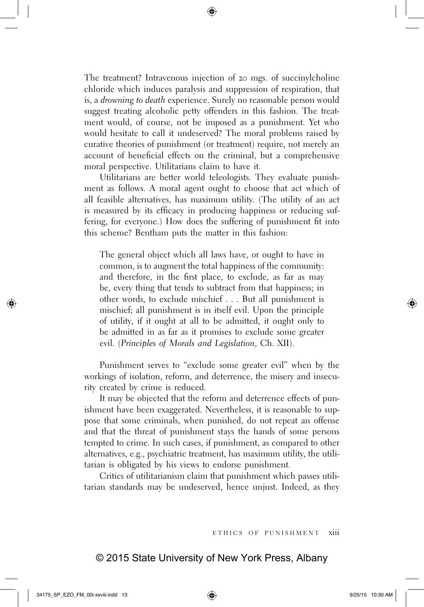The treatment? Intravenous injection of 20 mgs. of succinylcholine chloride which induces paralysis and suppression of respiration, that is, a *drowning to death* experience. Surely no reasonable person would suggest treating alcoholic petty offenders in this fashion. The treatment would, of course, not be imposed as a punishment. Yet who would hesitate to call it undeserved? The moral problems raised by curative theories of punishment (or treatment) require, not merely an account of beneficial effects on the criminal, but a comprehensive moral perspective. Utilitarians claim to have it.

Utilitarians are better world teleologists. They evaluate punishment as follows. A moral agent ought to choose that act which of all feasible alternatives, has maximum utility. (The utility of an act is measured by its efficacy in producing happiness or reducing suffering, for everyone.) How does the suffering of punishment fit into this scheme? Bentham puts the matter in this fashion:

The general object which all laws have, or ought to have in common, is to augment the total happiness of the community: and therefore, in the first place, to exclude, as far as may be, every thing that tends to subtract from that happiness; in other words, to exclude mischief . . . But all punishment is mischief; all punishment is in itself evil. Upon the principle of utility, if it ought at all to be admitted, it ought only to be admitted in as far as it promises to exclude some greater evil. (*Principles of Morals and Legislation*, Ch. XII).

Punishment serves to "exclude some greater evil" when by the workings of isolation, reform, and deterrence, the misery and insecurity created by crime is reduced.

It may be objected that the reform and deterrence effects of punishment have been exaggerated. Nevertheless, it is reasonable to suppose that some criminals, when punished, do not repeat an offense and that the threat of punishment stays the hands of some persons tempted to crime. In such cases, if punishment, as compared to other alternatives, e.g., psychiatric treatment, has maximum utility, the utilitarian is obligated by his views to endorse punishment.

Critics of utilitarianism claim that punishment which passes utilitarian standards may be undeserved, hence unjust. Indeed, as they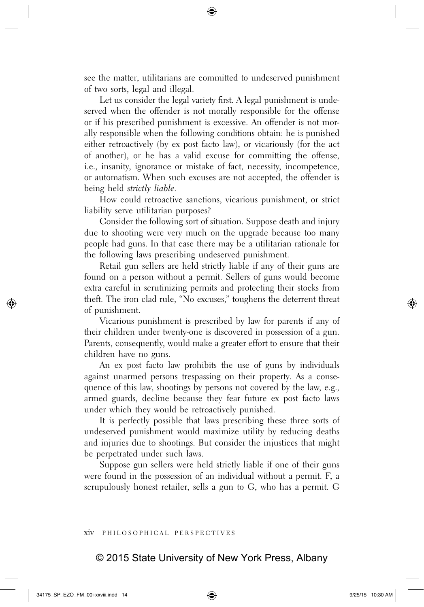see the matter, utilitarians are committed to undeserved punishment of two sorts, legal and illegal.

Let us consider the legal variety first. A legal punishment is undeserved when the offender is not morally responsible for the offense or if his prescribed punishment is excessive. An offender is not morally responsible when the following conditions obtain: he is punished either retroactively (by ex post facto law), or vicariously (for the act of another), or he has a valid excuse for committing the offense, i.e., insanity, ignorance or mistake of fact, necessity, incompetence, or automatism. When such excuses are not accepted, the offender is being held *strictly liable*.

How could retroactive sanctions, vicarious punishment, or strict liability serve utilitarian purposes?

Consider the following sort of situation. Suppose death and injury due to shooting were very much on the upgrade because too many people had guns. In that case there may be a utilitarian rationale for the following laws prescribing undeserved punishment.

Retail gun sellers are held strictly liable if any of their guns are found on a person without a permit. Sellers of guns would become extra careful in scrutinizing permits and protecting their stocks from theft. The iron clad rule, "No excuses," toughens the deterrent threat of punishment.

Vicarious punishment is prescribed by law for parents if any of their children under twenty-one is discovered in possession of a gun. Parents, consequently, would make a greater effort to ensure that their children have no guns.

An ex post facto law prohibits the use of guns by individuals against unarmed persons trespassing on their property. As a consequence of this law, shootings by persons not covered by the law, e.g., armed guards, decline because they fear future ex post facto laws under which they would be retroactively punished.

It is perfectly possible that laws prescribing these three sorts of undeserved punishment would maximize utility by reducing deaths and injuries due to shootings. But consider the injustices that might be perpetrated under such laws.

Suppose gun sellers were held strictly liable if one of their guns were found in the possession of an individual without a permit. F, a scrupulously honest retailer, sells a gun to G, who has a permit. G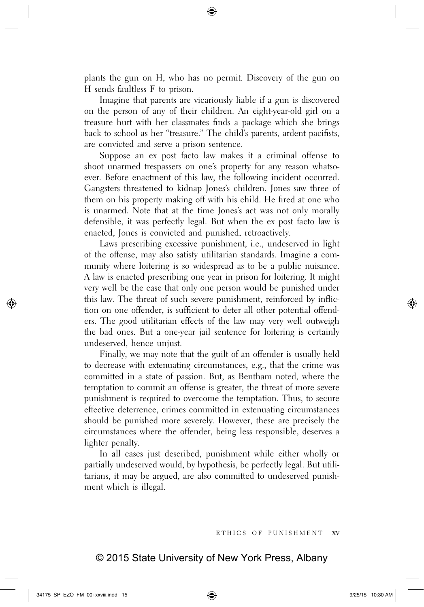plants the gun on H, who has no permit. Discovery of the gun on H sends faultless F to prison.

Imagine that parents are vicariously liable if a gun is discovered on the person of any of their children. An eight-year-old girl on a treasure hurt with her classmates finds a package which she brings back to school as her "treasure." The child's parents, ardent pacifists, are convicted and serve a prison sentence.

Suppose an ex post facto law makes it a criminal offense to shoot unarmed trespassers on one's property for any reason whatsoever. Before enactment of this law, the following incident occurred. Gangsters threatened to kidnap Jones's children. Jones saw three of them on his property making off with his child. He fired at one who is unarmed. Note that at the time Jones's act was not only morally defensible, it was perfectly legal. But when the ex post facto law is enacted, Jones is convicted and punished, retroactively.

Laws prescribing excessive punishment, i.e., undeserved in light of the offense, may also satisfy utilitarian standards. Imagine a community where loitering is so widespread as to be a public nuisance. A law is enacted prescribing one year in prison for loitering. It might very well be the case that only one person would be punished under this law. The threat of such severe punishment, reinforced by infliction on one offender, is sufficient to deter all other potential offenders. The good utilitarian effects of the law may very well outweigh the bad ones. But a one-year jail sentence for loitering is certainly undeserved, hence unjust.

Finally, we may note that the guilt of an offender is usually held to decrease with extenuating circumstances, e.g., that the crime was committed in a state of passion. But, as Bentham noted, where the temptation to commit an offense is greater, the threat of more severe punishment is required to overcome the temptation. Thus, to secure effective deterrence, crimes committed in extenuating circumstances should be punished more severely. However, these are precisely the circumstances where the offender, being less responsible, deserves a lighter penalty.

In all cases just described, punishment while either wholly or partially undeserved would, by hypothesis, be perfectly legal. But utilitarians, it may be argued, are also committed to undeserved punishment which is illegal.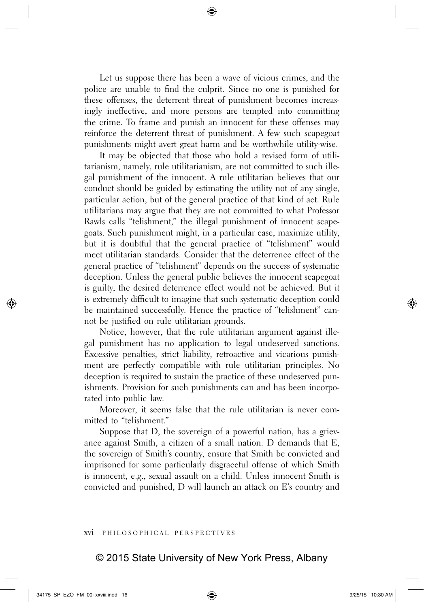Let us suppose there has been a wave of vicious crimes, and the police are unable to find the culprit. Since no one is punished for these offenses, the deterrent threat of punishment becomes increasingly ineffective, and more persons are tempted into committing the crime. To frame and punish an innocent for these offenses may reinforce the deterrent threat of punishment. A few such scapegoat punishments might avert great harm and be worthwhile utility-wise.

It may be objected that those who hold a revised form of utilitarianism, namely, rule utilitarianism, are not committed to such illegal punishment of the innocent. A rule utilitarian believes that our conduct should be guided by estimating the utility not of any single, particular action, but of the general practice of that kind of act. Rule utilitarians may argue that they are not committed to what Professor Rawls calls "telishment," the illegal punishment of innocent scapegoats. Such punishment might, in a particular case, maximize utility, but it is doubtful that the general practice of "telishment" would meet utilitarian standards. Consider that the deterrence effect of the general practice of "telishment" depends on the success of systematic deception. Unless the general public believes the innocent scapegoat is guilty, the desired deterrence effect would not be achieved. But it is extremely difficult to imagine that such systematic deception could be maintained successfully. Hence the practice of "telishment" cannot be justified on rule utilitarian grounds.

Notice, however, that the rule utilitarian argument against illegal punishment has no application to legal undeserved sanctions. Excessive penalties, strict liability, retroactive and vicarious punishment are perfectly compatible with rule utilitarian principles. No deception is required to sustain the practice of these undeserved punishments. Provision for such punishments can and has been incorporated into public law.

Moreover, it seems false that the rule utilitarian is never committed to "telishment."

Suppose that D, the sovereign of a powerful nation, has a grievance against Smith, a citizen of a small nation. D demands that E, the sovereign of Smith's country, ensure that Smith be convicted and imprisoned for some particularly disgraceful offense of which Smith is innocent, e.g., sexual assault on a child. Unless innocent Smith is convicted and punished, D will launch an attack on E's country and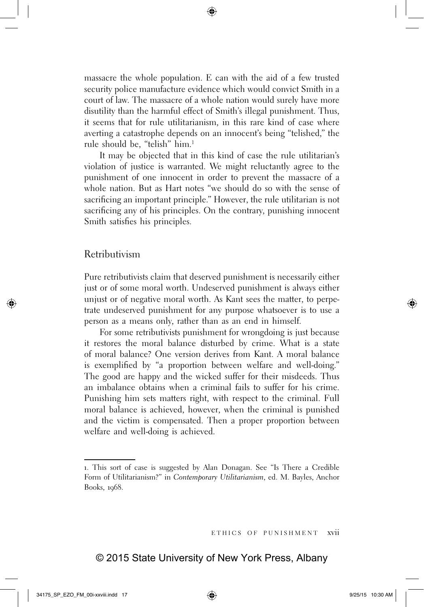massacre the whole population. E can with the aid of a few trusted security police manufacture evidence which would convict Smith in a court of law. The massacre of a whole nation would surely have more disutility than the harmful effect of Smith's illegal punishment. Thus, it seems that for rule utilitarianism, in this rare kind of case where averting a catastrophe depends on an innocent's being "telished," the rule should be, "telish" him.<sup>1</sup>

It may be objected that in this kind of case the rule utilitarian's violation of justice is warranted. We might reluctantly agree to the punishment of one innocent in order to prevent the massacre of a whole nation. But as Hart notes "we should do so with the sense of sacrificing an important principle." However, the rule utilitarian is not sacrificing any of his principles. On the contrary, punishing innocent Smith satisfies his principles.

## Retributivism

Pure retributivists claim that deserved punishment is necessarily either just or of some moral worth. Undeserved punishment is always either unjust or of negative moral worth. As Kant sees the matter, to perpetrate undeserved punishment for any purpose whatsoever is to use a person as a means only, rather than as an end in himself.

For some retributivists punishment for wrongdoing is just because it restores the moral balance disturbed by crime. What is a state of moral balance? One version derives from Kant. A moral balance is exemplified by "a proportion between welfare and well-doing." The good are happy and the wicked suffer for their misdeeds. Thus an imbalance obtains when a criminal fails to suffer for his crime. Punishing him sets matters right, with respect to the criminal. Full moral balance is achieved, however, when the criminal is punished and the victim is compensated. Then a proper proportion between welfare and well-doing is achieved.

<sup>1.</sup> This sort of case is suggested by Alan Donagan. See "Is There a Credible Form of Utilitarianism?" in *Contemporary Utilitarianism*, ed. M. Bayles, Anchor Books, 1968.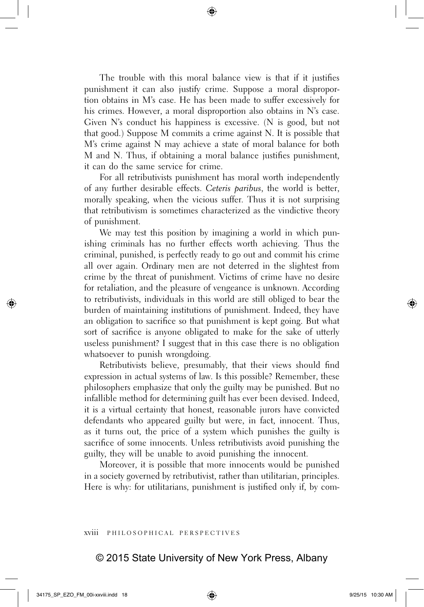The trouble with this moral balance view is that if it justifies punishment it can also justify crime. Suppose a moral disproportion obtains in M's case. He has been made to suffer excessively for his crimes. However, a moral disproportion also obtains in N's case. Given N's conduct his happiness is excessive. (N is good, but not that good.) Suppose M commits a crime against N. It is possible that M's crime against N may achieve a state of moral balance for both M and N. Thus, if obtaining a moral balance justifies punishment, it can do the same service for crime.

For all retributivists punishment has moral worth independently of any further desirable effects. *Ceteris paribus*, the world is better, morally speaking, when the vicious suffer. Thus it is not surprising that retributivism is sometimes characterized as the vindictive theory of punishment.

We may test this position by imagining a world in which punishing criminals has no further effects worth achieving. Thus the criminal, punished, is perfectly ready to go out and commit his crime all over again. Ordinary men are not deterred in the slightest from crime by the threat of punishment. Victims of crime have no desire for retaliation, and the pleasure of vengeance is unknown. According to retributivists, individuals in this world are still obliged to bear the burden of maintaining institutions of punishment. Indeed, they have an obligation to sacrifice so that punishment is kept going. But what sort of sacrifice is anyone obligated to make for the sake of utterly useless punishment? I suggest that in this case there is no obligation whatsoever to punish wrongdoing.

Retributivists believe, presumably, that their views should find expression in actual systems of law. Is this possible? Remember, these philosophers emphasize that only the guilty may be punished. But no infallible method for determining guilt has ever been devised. Indeed, it is a virtual certainty that honest, reasonable jurors have convicted defendants who appeared guilty but were, in fact, innocent. Thus, as it turns out, the price of a system which punishes the guilty is sacrifice of some innocents. Unless retributivists avoid punishing the guilty, they will be unable to avoid punishing the innocent.

Moreover, it is possible that more innocents would be punished in a society governed by retributivist, rather than utilitarian, principles. Here is why: for utilitarians, punishment is justified only if, by com-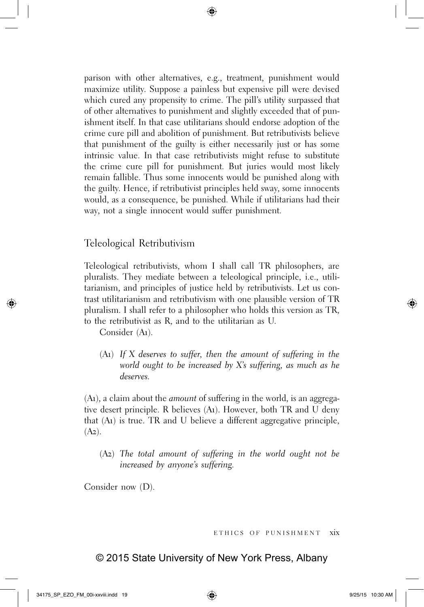parison with other alternatives, e.g., treatment, punishment would maximize utility. Suppose a painless but expensive pill were devised which cured any propensity to crime. The pill's utility surpassed that of other alternatives to punishment and slightly exceeded that of punishment itself. In that case utilitarians should endorse adoption of the crime cure pill and abolition of punishment. But retributivists believe that punishment of the guilty is either necessarily just or has some intrinsic value. In that case retributivists might refuse to substitute the crime cure pill for punishment. But juries would most likely remain fallible. Thus some innocents would be punished along with the guilty. Hence, if retributivist principles held sway, some innocents would, as a consequence, be punished. While if utilitarians had their way, not a single innocent would suffer punishment.

## Teleological Retributivism

Teleological retributivists, whom I shall call TR philosophers, are pluralists. They mediate between a teleological principle, i.e., utilitarianism, and principles of justice held by retributivists. Let us contrast utilitarianism and retributivism with one plausible version of TR pluralism. I shall refer to a philosopher who holds this version as TR, to the retributivist as R, and to the utilitarian as U.

Consider (A1).

(A1) *If X deserves to suffer, then the amount of suffering in the world ought to be increased by X's suffering, as much as he deserves.*

(A1), a claim about the *amount* of suffering in the world, is an aggregative desert principle. R believes (A1). However, both TR and U deny that (A1) is true. TR and U believe a different aggregative principle,  $(A<sub>2</sub>)$ .

(A2) *The total amount of suffering in the world ought not be increased by anyone's suffering.*

Consider now (D).

ETHICS OF PUNISHMENT XIX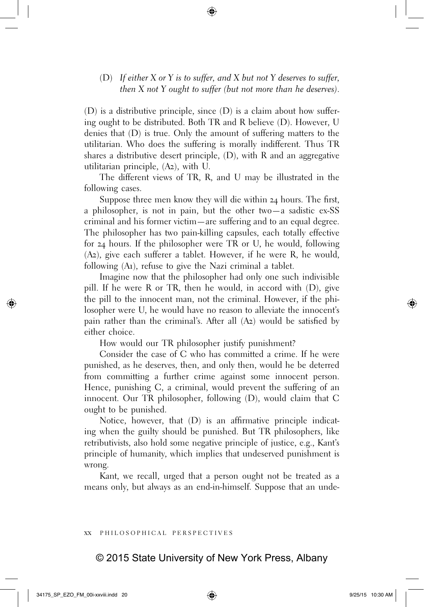#### (D) *If either X or Y is to suffer, and X but not Y deserves to suffer, then X not Y ought to suffer (but not more than he deserves)*.

(D) is a distributive principle, since (D) is a claim about how suffering ought to be distributed. Both TR and R believe (D). However, U denies that (D) is true. Only the amount of suffering matters to the utilitarian. Who does the suffering is morally indifferent. Thus TR shares a distributive desert principle, (D), with R and an aggregative utilitarian principle, (A2), with U.

The different views of TR, R, and U may be illustrated in the following cases.

Suppose three men know they will die within 24 hours. The first, a philosopher, is not in pain, but the other two—a sadistic ex-SS criminal and his former victim—are suffering and to an equal degree. The philosopher has two pain-killing capsules, each totally effective for 24 hours. If the philosopher were TR or U, he would, following (A2), give each sufferer a tablet. However, if he were R, he would, following (A1), refuse to give the Nazi criminal a tablet.

Imagine now that the philosopher had only one such indivisible pill. If he were R or TR, then he would, in accord with (D), give the pill to the innocent man, not the criminal. However, if the philosopher were U, he would have no reason to alleviate the innocent's pain rather than the criminal's. After all (A2) would be satisfied by either choice.

How would our TR philosopher justify punishment?

Consider the case of C who has committed a crime. If he were punished, as he deserves, then, and only then, would he be deterred from committing a further crime against some innocent person. Hence, punishing C, a criminal, would prevent the suffering of an innocent. Our TR philosopher, following (D), would claim that C ought to be punished.

Notice, however, that (D) is an affirmative principle indicating when the guilty should be punished. But TR philosophers, like retributivists, also hold some negative principle of justice, e.g., Kant's principle of humanity, which implies that undeserved punishment is wrong.

Kant, we recall, urged that a person ought not be treated as a means only, but always as an end-in-himself. Suppose that an unde-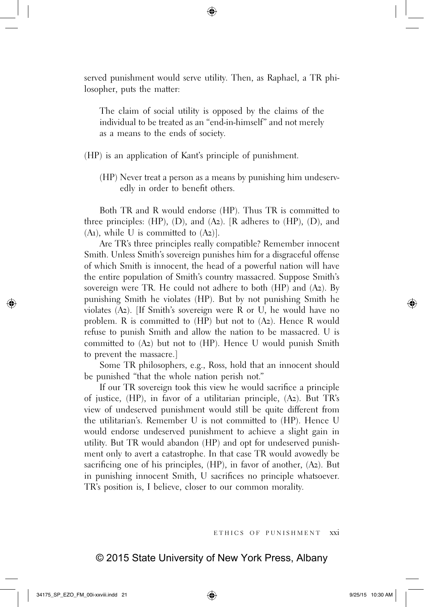served punishment would serve utility. Then, as Raphael, a TR philosopher, puts the matter:

The claim of social utility is opposed by the claims of the individual to be treated as an "end-in-himself" and not merely as a means to the ends of society.

(HP) is an application of Kant's principle of punishment.

(HP) Never treat a person as a means by punishing him undeservedly in order to benefit others.

Both TR and R would endorse (HP). Thus TR is committed to three principles:  $(HP)$ ,  $(D)$ , and  $(Az)$ .  $[R$  adheres to  $(HP)$ ,  $(D)$ , and  $(A_1)$ , while U is committed to  $(A_2)$ ].

Are TR's three principles really compatible? Remember innocent Smith. Unless Smith's sovereign punishes him for a disgraceful offense of which Smith is innocent, the head of a powerful nation will have the entire population of Smith's country massacred. Suppose Smith's sovereign were TR. He could not adhere to both (HP) and (A2). By punishing Smith he violates (HP). But by not punishing Smith he violates (A2). [If Smith's sovereign were R or U, he would have no problem. R is committed to (HP) but not to (A2). Hence R would refuse to punish Smith and allow the nation to be massacred. U is committed to (A2) but not to (HP). Hence U would punish Smith to prevent the massacre.]

Some TR philosophers, e.g., Ross, hold that an innocent should be punished "that the whole nation perish not."

If our TR sovereign took this view he would sacrifice a principle of justice, (HP), in favor of a utilitarian principle, (A2). But TR's view of undeserved punishment would still be quite different from the utilitarian's. Remember U is not committed to (HP). Hence U would endorse undeserved punishment to achieve a slight gain in utility. But TR would abandon (HP) and opt for undeserved punishment only to avert a catastrophe. In that case TR would avowedly be sacrificing one of his principles, (HP), in favor of another, (A2). But in punishing innocent Smith, U sacrifices no principle whatsoever. TR's position is, I believe, closer to our common morality.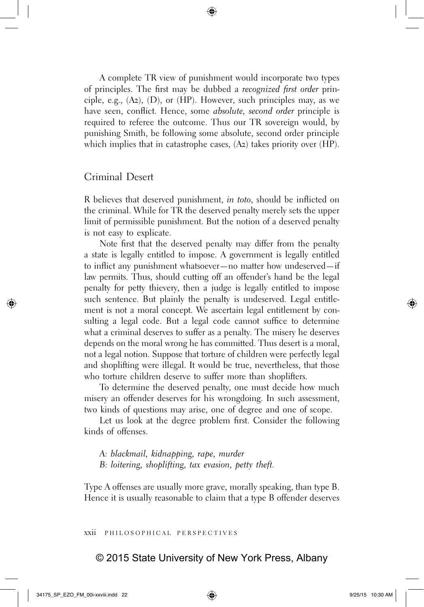A complete TR view of punishment would incorporate two types of principles. The first may be dubbed a *recognized first order* principle, e.g.,  $(A_2)$ ,  $(D)$ , or  $(HP)$ . However, such principles may, as we have seen, conflict. Hence, some *absolute, second order* principle is required to referee the outcome. Thus our TR sovereign would, by punishing Smith, be following some absolute, second order principle which implies that in catastrophe cases,  $(A<sub>2</sub>)$  takes priority over  $(HP)$ .

#### Criminal Desert

R believes that deserved punishment, *in toto*, should be inflicted on the criminal. While for TR the deserved penalty merely sets the upper limit of permissible punishment. But the notion of a deserved penalty is not easy to explicate.

Note first that the deserved penalty may differ from the penalty a state is legally entitled to impose. A government is legally entitled to inflict any punishment whatsoever—no matter how undeserved—if law permits. Thus, should cutting off an offender's hand be the legal penalty for petty thievery, then a judge is legally entitled to impose such sentence. But plainly the penalty is undeserved. Legal entitlement is not a moral concept. We ascertain legal entitlement by consulting a legal code. But a legal code cannot suffice to determine what a criminal deserves to suffer as a penalty. The misery he deserves depends on the moral wrong he has committed. Thus desert is a moral, not a legal notion. Suppose that torture of children were perfectly legal and shoplifting were illegal. It would be true, nevertheless, that those who torture children deserve to suffer more than shoplifters.

To determine the deserved penalty, one must decide how much misery an offender deserves for his wrongdoing. In such assessment, two kinds of questions may arise, one of degree and one of scope.

Let us look at the degree problem first. Consider the following kinds of offenses.

*A: blackmail, kidnapping, rape, murder B: loitering, shoplifting, tax evasion, petty theft.*

Type A offenses are usually more grave, morally speaking, than type B. Hence it is usually reasonable to claim that a type B offender deserves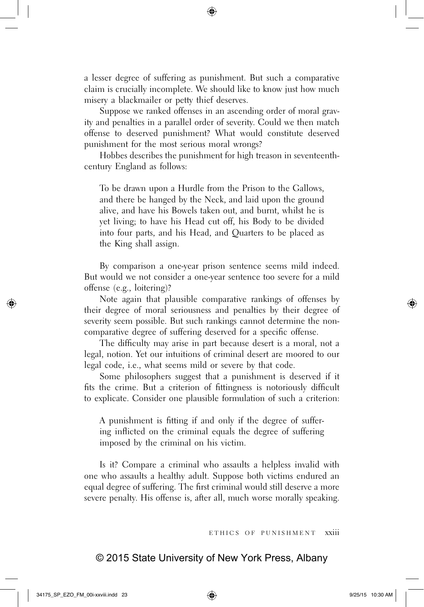a lesser degree of suffering as punishment. But such a comparative claim is crucially incomplete. We should like to know just how much misery a blackmailer or petty thief deserves.

Suppose we ranked offenses in an ascending order of moral gravity and penalties in a parallel order of severity. Could we then match offense to deserved punishment? What would constitute deserved punishment for the most serious moral wrongs?

Hobbes describes the punishment for high treason in seventeenthcentury England as follows:

To be drawn upon a Hurdle from the Prison to the Gallows, and there be hanged by the Neck, and laid upon the ground alive, and have his Bowels taken out, and burnt, whilst he is yet living; to have his Head cut off, his Body to be divided into four parts, and his Head, and Quarters to be placed as the King shall assign.

By comparison a one-year prison sentence seems mild indeed. But would we not consider a one-year sentence too severe for a mild offense (e.g., loitering)?

Note again that plausible comparative rankings of offenses by their degree of moral seriousness and penalties by their degree of severity seem possible. But such rankings cannot determine the noncomparative degree of suffering deserved for a specific offense.

The difficulty may arise in part because desert is a moral, not a legal, notion. Yet our intuitions of criminal desert are moored to our legal code, i.e., what seems mild or severe by that code.

Some philosophers suggest that a punishment is deserved if it fits the crime. But a criterion of fittingness is notoriously difficult to explicate. Consider one plausible formulation of such a criterion:

A punishment is fitting if and only if the degree of suffering inflicted on the criminal equals the degree of suffering imposed by the criminal on his victim.

Is it? Compare a criminal who assaults a helpless invalid with one who assaults a healthy adult. Suppose both victims endured an equal degree of suffering. The first criminal would still deserve a more severe penalty. His offense is, after all, much worse morally speaking.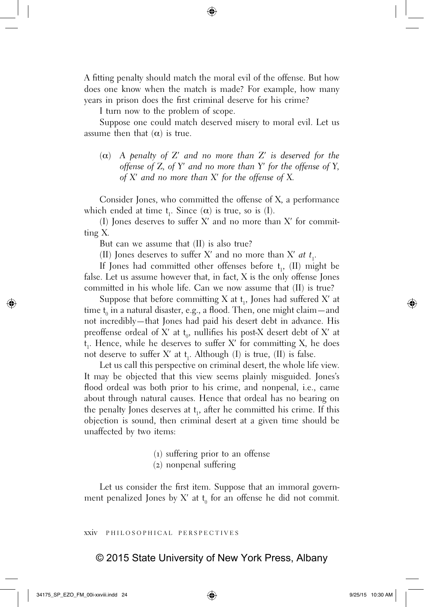A fitting penalty should match the moral evil of the offense. But how does one know when the match is made? For example, how many years in prison does the first criminal deserve for his crime?

I turn now to the problem of scope.

Suppose one could match deserved misery to moral evil. Let us assume then that  $(\alpha)$  is true.

(a) *A penalty of Z*ʹ *and no more than Z*ʹ *is deserved for the offense of Z, of Y*ʹ *and no more than Y*ʹ *for the offense of Y, of X*ʹ *and no more than X*ʹ *for the offense of X.*

Consider Jones, who committed the offense of X, a performance which ended at time  $t_1$ . Since  $(\alpha)$  is true, so is (I).

(I) Jones deserves to suffer  $X'$  and no more than  $X'$  for committing X.

But can we assume that (II) is also true?

(II) Jones deserves to suffer X' and no more than X' *at*  $t_1$ .

If Jones had committed other offenses before  $t_1$ , (II) might be false. Let us assume however that, in fact, X is the only offense Jones committed in his whole life. Can we now assume that (II) is true?

Suppose that before committing X at  $t_1$ , Jones had suffered X' at time  ${\rm t}_{{}_{0}}$  in a natural disaster, e.g., a flood. Then, one might claim—and not incredibly—that Jones had paid his desert debt in advance. His preoffense ordeal of X' at  $t_0$ , nullifies his post-X desert debt of X' at t 1 . Hence, while he deserves to suffer Xʹ for committing X, he does not deserve to suffer  $X'$  at  $t_1$ . Although (I) is true, (II) is false.

Let us call this perspective on criminal desert, the whole life view. It may be objected that this view seems plainly misguided. Jones's flood ordeal was both prior to his crime, and nonpenal, i.e., came about through natural causes. Hence that ordeal has no bearing on the penalty Jones deserves at  $t_1$ , after he committed his crime. If this objection is sound, then criminal desert at a given time should be unaffected by two items:

(1) suffering prior to an offense

(2) nonpenal suffering

Let us consider the first item. Suppose that an immoral government penalized Jones by  $X'$  at  $t_0$  for an offense he did not commit.

xxiv p h i l o s o p h i c a l p e r s p e c t i v e s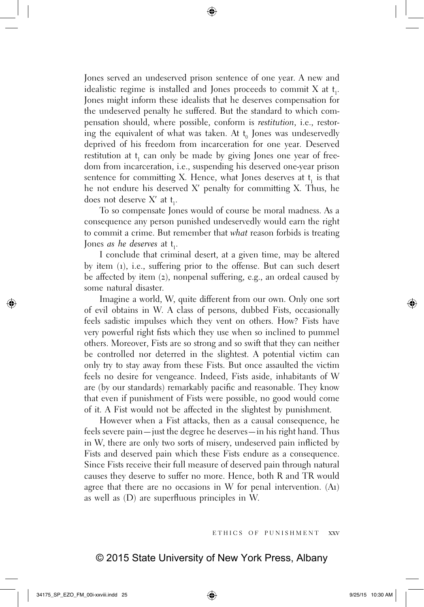Jones served an undeserved prison sentence of one year. A new and idealistic regime is installed and Jones proceeds to commit  $X$  at  $t_1$ . Jones might inform these idealists that he deserves compensation for the undeserved penalty he suffered. But the standard to which compensation should, where possible, conform is *restitution*, i.e., restoring the equivalent of what was taken. At  $t_0$  Jones was undeservedly deprived of his freedom from incarceration for one year. Deserved restitution at  $t_1$  can only be made by giving Jones one year of freedom from incarceration, i.e., suspending his deserved one-year prison sentence for committing X. Hence, what Jones deserves at  $t_1$  is that he not endure his deserved Xʹ penalty for committing X. Thus, he does not deserve  $X'$  at  $t_1$ .

To so compensate Jones would of course be moral madness. As a consequence any person punished undeservedly would earn the right to commit a crime. But remember that *what* reason forbids is treating Jones *as he deserves* at t<sub>1</sub>.

I conclude that criminal desert, at a given time, may be altered by item (1), i.e., suffering prior to the offense. But can such desert be affected by item (2), nonpenal suffering, e.g., an ordeal caused by some natural disaster.

Imagine a world, W, quite different from our own. Only one sort of evil obtains in W. A class of persons, dubbed Fists, occasionally feels sadistic impulses which they vent on others. How? Fists have very powerful right fists which they use when so inclined to pummel others. Moreover, Fists are so strong and so swift that they can neither be controlled nor deterred in the slightest. A potential victim can only try to stay away from these Fists. But once assaulted the victim feels no desire for vengeance. Indeed, Fists aside, inhabitants of W are (by our standards) remarkably pacific and reasonable. They know that even if punishment of Fists were possible, no good would come of it. A Fist would not be affected in the slightest by punishment.

However when a Fist attacks, then as a causal consequence, he feels severe pain—just the degree he deserves—in his right hand. Thus in W, there are only two sorts of misery, undeserved pain inflicted by Fists and deserved pain which these Fists endure as a consequence. Since Fists receive their full measure of deserved pain through natural causes they deserve to suffer no more. Hence, both R and TR would agree that there are no occasions in W for penal intervention.  $(A<sub>1</sub>)$ as well as (D) are superfluous principles in W.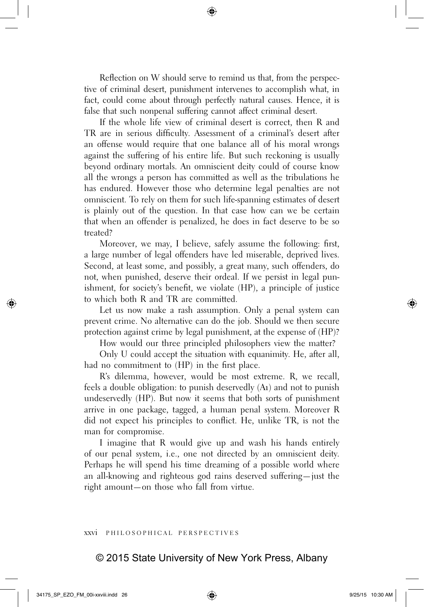Reflection on W should serve to remind us that, from the perspective of criminal desert, punishment intervenes to accomplish what, in fact, could come about through perfectly natural causes. Hence, it is false that such nonpenal suffering cannot affect criminal desert.

If the whole life view of criminal desert is correct, then R and TR are in serious difficulty. Assessment of a criminal's desert after an offense would require that one balance all of his moral wrongs against the suffering of his entire life. But such reckoning is usually beyond ordinary mortals. An omniscient deity could of course know all the wrongs a person has committed as well as the tribulations he has endured. However those who determine legal penalties are not omniscient. To rely on them for such life-spanning estimates of desert is plainly out of the question. In that case how can we be certain that when an offender is penalized, he does in fact deserve to be so treated?

Moreover, we may, I believe, safely assume the following: first, a large number of legal offenders have led miserable, deprived lives. Second, at least some, and possibly, a great many, such offenders, do not, when punished, deserve their ordeal. If we persist in legal punishment, for society's benefit, we violate (HP), a principle of justice to which both R and TR are committed.

Let us now make a rash assumption. Only a penal system can prevent crime. No alternative can do the job. Should we then secure protection against crime by legal punishment, at the expense of (HP)?

How would our three principled philosophers view the matter?

Only U could accept the situation with equanimity. He, after all, had no commitment to (HP) in the first place.

R's dilemma, however, would be most extreme. R, we recall, feels a double obligation: to punish deservedly (A1) and not to punish undeservedly (HP). But now it seems that both sorts of punishment arrive in one package, tagged, a human penal system. Moreover R did not expect his principles to conflict. He, unlike TR, is not the man for compromise.

I imagine that R would give up and wash his hands entirely of our penal system, i.e., one not directed by an omniscient deity. Perhaps he will spend his time dreaming of a possible world where an all-knowing and righteous god rains deserved suffering—just the right amount—on those who fall from virtue.